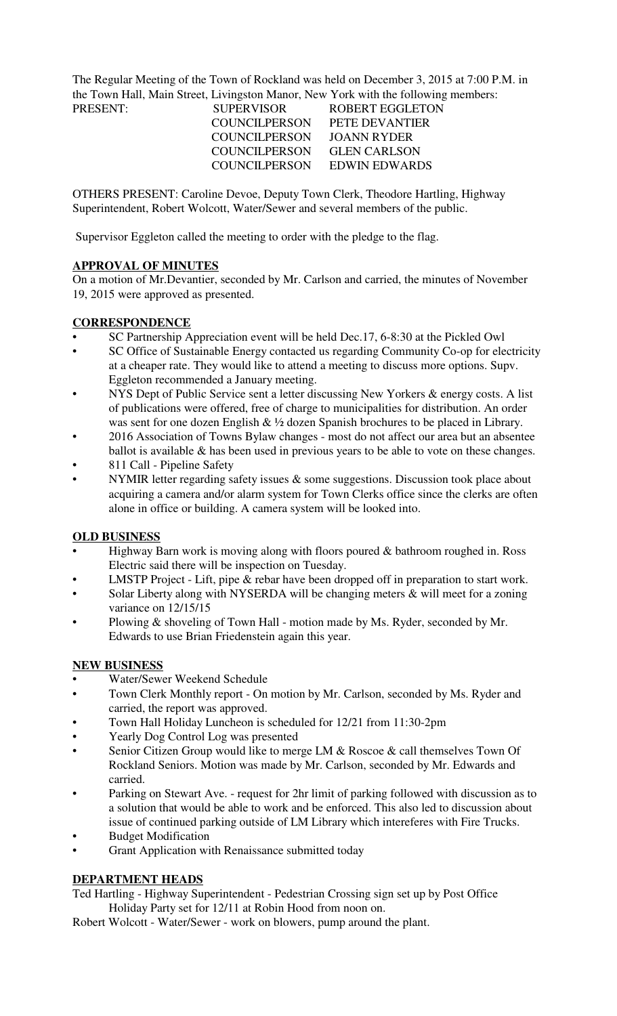The Regular Meeting of the Town of Rockland was held on December 3, 2015 at 7:00 P.M. in the Town Hall, Main Street, Livingston Manor, New York with the following members:

| PRESENT: | <b>SUPERVISOR</b>    | ROBERT EGGLETON             |
|----------|----------------------|-----------------------------|
|          | <b>COUNCILPERSON</b> | PETE DEVANTIER              |
|          | COUNCIL PERSON       | JOANN RYDER                 |
|          | COUNCILPERSON        | <b>GLEN CARLSON</b>         |
|          |                      | COUNCILPERSON EDWIN EDWARDS |
|          |                      |                             |

OTHERS PRESENT: Caroline Devoe, Deputy Town Clerk, Theodore Hartling, Highway Superintendent, Robert Wolcott, Water/Sewer and several members of the public.

Supervisor Eggleton called the meeting to order with the pledge to the flag.

## **APPROVAL OF MINUTES**

On a motion of Mr.Devantier, seconded by Mr. Carlson and carried, the minutes of November 19, 2015 were approved as presented.

## **CORRESPONDENCE**

- SC Partnership Appreciation event will be held Dec.17, 6-8:30 at the Pickled Owl
- SC Office of Sustainable Energy contacted us regarding Community Co-op for electricity at a cheaper rate. They would like to attend a meeting to discuss more options. Supv. Eggleton recommended a January meeting.
- NYS Dept of Public Service sent a letter discussing New Yorkers & energy costs. A list of publications were offered, free of charge to municipalities for distribution. An order was sent for one dozen English & ½ dozen Spanish brochures to be placed in Library.
- 2016 Association of Towns Bylaw changes most do not affect our area but an absentee ballot is available & has been used in previous years to be able to vote on these changes.
- 811 Call Pipeline Safety
- NYMIR letter regarding safety issues  $\&$  some suggestions. Discussion took place about acquiring a camera and/or alarm system for Town Clerks office since the clerks are often alone in office or building. A camera system will be looked into.

## **OLD BUSINESS**

- Highway Barn work is moving along with floors poured  $&$  bathroom roughed in. Ross Electric said there will be inspection on Tuesday.
- LMSTP Project Lift, pipe & rebar have been dropped off in preparation to start work.
- Solar Liberty along with NYSERDA will be changing meters & will meet for a zoning variance on 12/15/15
- Plowing & shoveling of Town Hall motion made by Ms. Ryder, seconded by Mr. Edwards to use Brian Friedenstein again this year.

## **NEW BUSINESS**

- Water/Sewer Weekend Schedule
- Town Clerk Monthly report On motion by Mr. Carlson, seconded by Ms. Ryder and carried, the report was approved.
- Town Hall Holiday Luncheon is scheduled for 12/21 from 11:30-2pm
- Yearly Dog Control Log was presented
- Senior Citizen Group would like to merge LM & Roscoe & call themselves Town Of Rockland Seniors. Motion was made by Mr. Carlson, seconded by Mr. Edwards and carried.
- Parking on Stewart Ave. request for 2hr limit of parking followed with discussion as to a solution that would be able to work and be enforced. This also led to discussion about issue of continued parking outside of LM Library which intereferes with Fire Trucks.
- Budget Modification
- Grant Application with Renaissance submitted today

## **DEPARTMENT HEADS**

Ted Hartling - Highway Superintendent - Pedestrian Crossing sign set up by Post Office Holiday Party set for 12/11 at Robin Hood from noon on.

Robert Wolcott - Water/Sewer - work on blowers, pump around the plant.